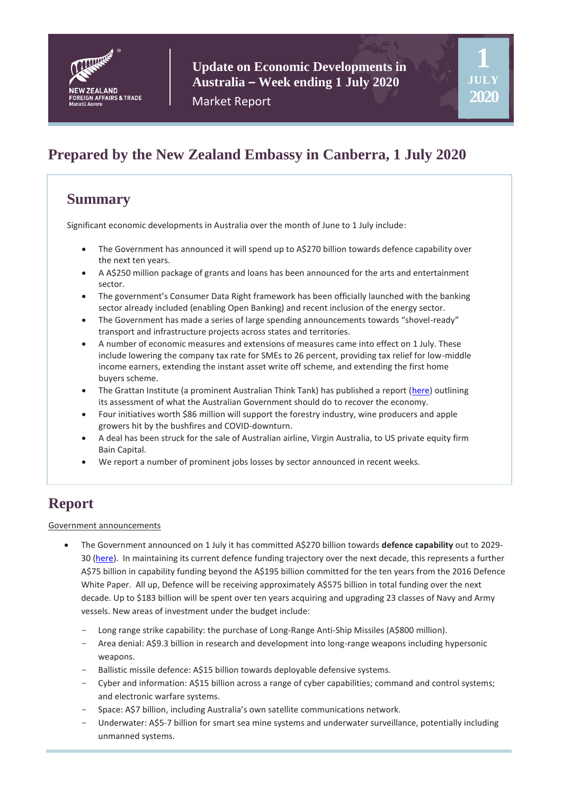

**1**

**JULY 2020**

Market Report

# **Prepared by the New Zealand Embassy in Canberra, 1 July 2020**

# **Summary**

Significant economic developments in Australia over the month of June to 1 July include:

- The Government has announced it will spend up to A\$270 billion towards defence capability over the next ten years.
- A A\$250 million package of grants and loans has been announced for the arts and entertainment sector.
- The government's Consumer Data Right framework has been officially launched with the banking sector already included (enabling Open Banking) and recent inclusion of the energy sector.
- The Government has made a series of large spending announcements towards "shovel-ready" transport and infrastructure projects across states and territories.
- A number of economic measures and extensions of measures came into effect on 1 July. These include lowering the company tax rate for SMEs to 26 percent, providing tax relief for low-middle income earners, extending the instant asset write off scheme, and extending the first home buyers scheme.
- The Grattan Institute (a prominent Australian Think Tank) has published a report [\(here\)](https://grattan.edu.au/report/recovery-book/) outlining its assessment of what the Australian Government should do to recover the economy.
- Four initiatives worth \$86 million will support the forestry industry, wine producers and apple growers hit by the bushfires and COVID-downturn.
- A deal has been struck for the sale of Australian airline, Virgin Australia, to US private equity firm Bain Capital.
- We report a number of prominent jobs losses by sector announced in recent weeks.

# **Report**

#### Government announcements

- The Government announced on 1 July it has committed A\$270 billion towards **defence capability** out to 2029- 30 [\(here\)](https://www.pm.gov.au/media/defending-australia-and-its-interests). In maintaining its current defence funding trajectory over the next decade, this represents a further A\$75 billion in capability funding beyond the A\$195 billion committed for the ten years from the 2016 Defence White Paper. All up, Defence will be receiving approximately A\$575 billion in total funding over the next decade. Up to \$183 billion will be spent over ten years acquiring and upgrading 23 classes of Navy and Army vessels. New areas of investment under the budget include:
	- Long range strike capability: the purchase of Long-Range Anti-Ship Missiles (A\$800 million).
	- Area denial: A\$9.3 billion in research and development into long-range weapons including hypersonic weapons.
	- Ballistic missile defence: A\$15 billion towards deployable defensive systems.
	- Cyber and information: A\$15 billion across a range of cyber capabilities; command and control systems; and electronic warfare systems.
	- Space: A\$7 billion, including Australia's own satellite communications network.
	- Underwater: A\$5-7 billion for smart sea mine systems and underwater surveillance, potentially including unmanned systems.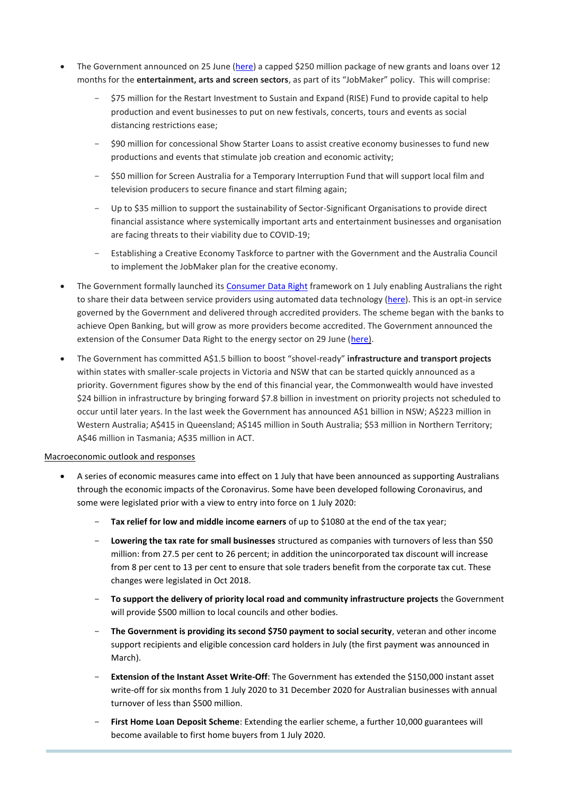- The Government announced on 25 June [\(here\)](https://minister.infrastructure.gov.au/fletcher/media-release/250-million-jobmaker-plan-restart-australias-creative-economy) a capped \$250 million package of new grants and loans over 12 months for the **entertainment, arts and screen sectors**, as part of its "JobMaker" policy. This will comprise:
	- \$75 million for the Restart Investment to Sustain and Expand (RISE) Fund to provide capital to help production and event businesses to put on new festivals, concerts, tours and events as social distancing restrictions ease;
	- \$90 million for concessional Show Starter Loans to assist creative economy businesses to fund new productions and events that stimulate job creation and economic activity;
	- \$50 million for Screen Australia for a Temporary Interruption Fund that will support local film and television producers to secure finance and start filming again;
	- Up to \$35 million to support the sustainability of Sector-Significant Organisations to provide direct financial assistance where systemically important arts and entertainment businesses and organisation are facing threats to their viability due to COVID-19;
	- Establishing a Creative Economy Taskforce to partner with the Government and the Australia Council to implement the JobMaker plan for the creative economy.
- The Government formally launched its [Consumer Data Right](https://www.cdr.gov.au/) framework on 1 July enabling Australians the right to share their data between service providers using automated data technology [\(here\)](https://ministers.treasury.gov.au/ministers/josh-frydenberg-2018/media-releases/consumer-data-right-arrives). This is an opt-in service governed by the Government and delivered through accredited providers. The scheme began with the banks to achieve Open Banking, but will grow as more providers become accredited. The Government announced the extension of the Consumer Data Right to the energy sector on 29 June [\(here\)](https://ministers.treasury.gov.au/ministers/josh-frydenberg-2018/media-releases/more-power-compare-and-switch-energy-providers).
- The Government has committed A\$1.5 billion to boost "shovel-ready" **infrastructure and transport projects** within states with smaller-scale projects in Victoria and NSW that can be started quickly announced as a priority. Government figures show by the end of this financial year, the Commonwealth would have invested \$24 billion in infrastructure by bringing forward \$7.8 billion in investment on priority projects not scheduled to occur until later years. In the last week the Government has announced A\$1 billion in NSW; A\$223 million in Western Australia; A\$415 in Queensland; A\$145 million in South Australia; \$53 million in Northern Territory; A\$46 million in Tasmania; A\$35 million in ACT.

#### Macroeconomic outlook and responses

- A series of economic measures came into effect on 1 July that have been announced as supporting Australians through the economic impacts of the Coronavirus. Some have been developed following Coronavirus, and some were legislated prior with a view to entry into force on 1 July 2020:
	- Tax relief for low and middle income earners of up to \$1080 at the end of the tax year;
	- **Lowering the tax rate for small businesses** structured as companies with turnovers of less than \$50 million: from 27.5 per cent to 26 percent; in addition the unincorporated tax discount will increase from 8 per cent to 13 per cent to ensure that sole traders benefit from the corporate tax cut. These changes were legislated in Oct 2018.
	- **To support the delivery of priority local road and community infrastructure projects** the Government will provide \$500 million to local councils and other bodies.
	- The Government is providing its second \$750 payment to social security, veteran and other income support recipients and eligible concession card holders in July (the first payment was announced in March).
	- **Extension of the Instant Asset Write-Off**: The Government has extended the \$150,000 instant asset write-off for six months from 1 July 2020 to 31 December 2020 for Australian businesses with annual turnover of less than \$500 million.
	- **First Home Loan Deposit Scheme**: Extending the earlier scheme, a further 10,000 guarantees will become available to first home buyers from 1 July 2020.

- **Temporary early access to superannuation:** Eligible Australian and New Zealand citizens and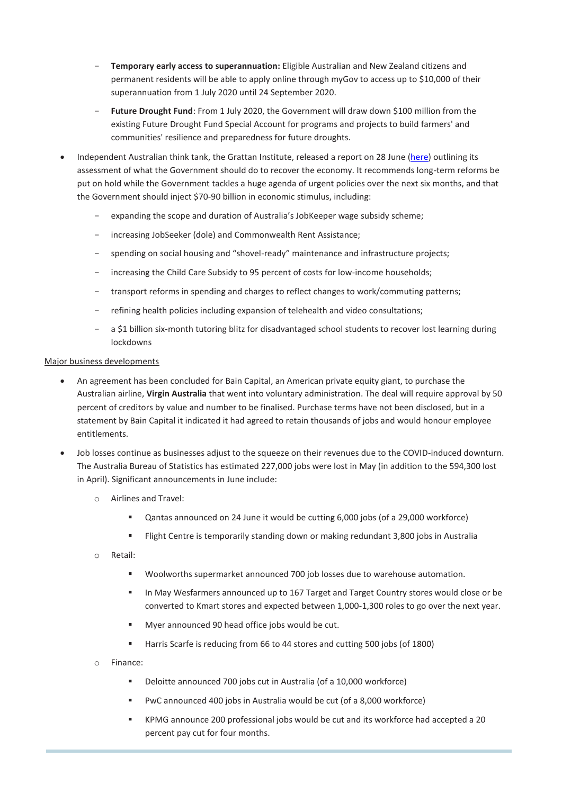- **Temporary early access to superannuation:** Eligible Australian and New Zealand citizens and permanent residents will be able to apply online through myGov to access up to \$10,000 of their superannuation from 1 July 2020 until 24 September 2020.
- Future Drought Fund: From 1 July 2020, the Government will draw down \$100 million from the existing Future Drought Fund Special Account for programs and projects to build farmers' and communities' resilience and preparedness for future droughts.
- Independent Australian think tank, the Grattan Institute, released a report on 28 June [\(here\)](https://grattan.edu.au/report/recovery-book/) outlining its assessment of what the Government should do to recover the economy. It recommends long-term reforms be put on hold while the Government tackles a huge agenda of urgent policies over the next six months, and that the Government should inject \$70-90 billion in economic stimulus, including:
	- expanding the scope and duration of Australia's JobKeeper wage subsidy scheme;
	- increasing JobSeeker (dole) and Commonwealth Rent Assistance;
	- spending on social housing and "shovel-ready" maintenance and infrastructure projects;
	- increasing the Child Care Subsidy to 95 percent of costs for low-income households;
	- transport reforms in spending and charges to reflect changes to work/commuting patterns;
	- refining health policies including expansion of telehealth and video consultations;
	- a \$1 billion six-month tutoring blitz for disadvantaged school students to recover lost learning during lockdowns

#### Major business developments

- An agreement has been concluded for Bain Capital, an American private equity giant, to purchase the Australian airline, **Virgin Australia** that went into voluntary administration. The deal will require approval by 50 percent of creditors by value and number to be finalised. Purchase terms have not been disclosed, but in a statement by Bain Capital it indicated it had agreed to retain thousands of jobs and would honour employee entitlements.
- Job losses continue as businesses adjust to the squeeze on their revenues due to the COVID-induced downturn. The Australia Bureau of Statistics has estimated 227,000 jobs were lost in May (in addition to the 594,300 lost in April). Significant announcements in June include:
	- o Airlines and Travel:
		- Qantas announced on 24 June it would be cutting 6,000 jobs (of a 29,000 workforce)
		- **FIIGHT CENTER 15 FLIGHT CENTER IS TEMP** in Australia Figure 1 and in temporarily standing down or making redundant 3,800 jobs in Australia
	- o Retail:
		- Woolworths supermarket announced 700 job losses due to warehouse automation.
		- In May Wesfarmers announced up to 167 Target and Target Country stores would close or be converted to Kmart stores and expected between 1,000-1,300 roles to go over the next year.
		- **Myer announced 90 head office jobs would be cut.**
		- Harris Scarfe is reducing from 66 to 44 stores and cutting 500 jobs (of 1800)
	- o Finance:

o Media:

- Deloitte announced 700 jobs cut in Australia (of a 10,000 workforce)
- PwC announced 400 jobs in Australia would be cut (of a 8,000 workforce)
- KPMG announce 200 professional jobs would be cut and its workforce had accepted a 20 percent pay cut for four months.